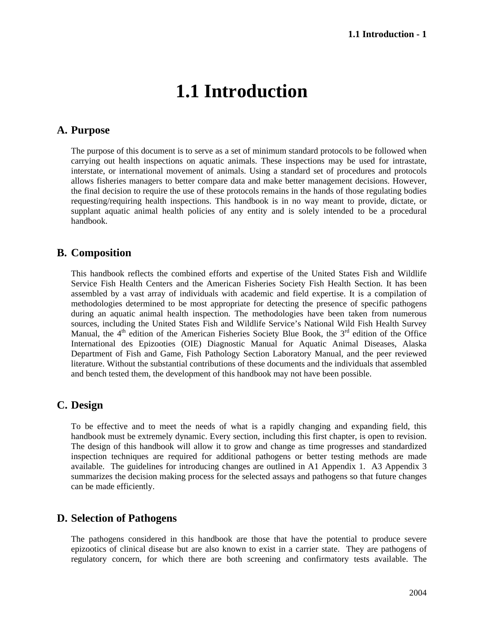# **1.1 Introduction**

#### **A. Purpose**

The purpose of this document is to serve as a set of minimum standard protocols to be followed when carrying out health inspections on aquatic animals. These inspections may be used for intrastate, interstate, or international movement of animals. Using a standard set of procedures and protocols allows fisheries managers to better compare data and make better management decisions. However, the final decision to require the use of these protocols remains in the hands of those regulating bodies requesting/requiring health inspections. This handbook is in no way meant to provide, dictate, or supplant aquatic animal health policies of any entity and is solely intended to be a procedural handbook.

#### **B. Composition**

This handbook reflects the combined efforts and expertise of the United States Fish and Wildlife Service Fish Health Centers and the American Fisheries Society Fish Health Section. It has been assembled by a vast array of individuals with academic and field expertise. It is a compilation of methodologies determined to be most appropriate for detecting the presence of specific pathogens during an aquatic animal health inspection. The methodologies have been taken from numerous sources, including the United States Fish and Wildlife Service's National Wild Fish Health Survey Manual, the  $4<sup>th</sup>$  edition of the American Fisheries Society Blue Book, the  $3<sup>rd</sup>$  edition of the Office International des Epizooties (OIE) Diagnostic Manual for Aquatic Animal Diseases, Alaska Department of Fish and Game, Fish Pathology Section Laboratory Manual, and the peer reviewed literature. Without the substantial contributions of these documents and the individuals that assembled and bench tested them, the development of this handbook may not have been possible.

## **C. Design**

To be effective and to meet the needs of what is a rapidly changing and expanding field, this handbook must be extremely dynamic. Every section, including this first chapter, is open to revision. The design of this handbook will allow it to grow and change as time progresses and standardized inspection techniques are required for additional pathogens or better testing methods are made available. The guidelines for introducing changes are outlined in A1 Appendix 1. A3 Appendix 3 summarizes the decision making process for the selected assays and pathogens so that future changes can be made efficiently.

#### **D. Selection of Pathogens**

The pathogens considered in this handbook are those that have the potential to produce severe epizootics of clinical disease but are also known to exist in a carrier state. They are pathogens of regulatory concern, for which there are both screening and confirmatory tests available. The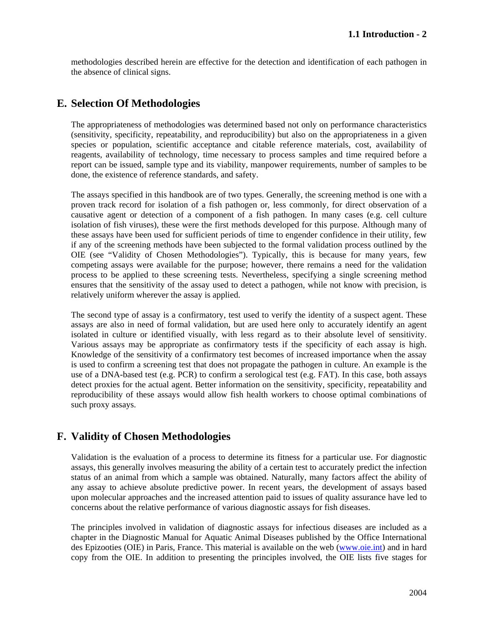methodologies described herein are effective for the detection and identification of each pathogen in the absence of clinical signs.

#### **E. Selection Of Methodologies**

The appropriateness of methodologies was determined based not only on performance characteristics (sensitivity, specificity, repeatability, and reproducibility) but also on the appropriateness in a given species or population, scientific acceptance and citable reference materials, cost, availability of reagents, availability of technology, time necessary to process samples and time required before a report can be issued, sample type and its viability, manpower requirements, number of samples to be done, the existence of reference standards, and safety.

The assays specified in this handbook are of two types. Generally, the screening method is one with a proven track record for isolation of a fish pathogen or, less commonly, for direct observation of a causative agent or detection of a component of a fish pathogen. In many cases (e.g. cell culture isolation of fish viruses), these were the first methods developed for this purpose. Although many of these assays have been used for sufficient periods of time to engender confidence in their utility, few if any of the screening methods have been subjected to the formal validation process outlined by the OIE (see "Validity of Chosen Methodologies"). Typically, this is because for many years, few competing assays were available for the purpose; however, there remains a need for the validation process to be applied to these screening tests. Nevertheless, specifying a single screening method ensures that the sensitivity of the assay used to detect a pathogen, while not know with precision, is relatively uniform wherever the assay is applied.

The second type of assay is a confirmatory, test used to verify the identity of a suspect agent. These assays are also in need of formal validation, but are used here only to accurately identify an agent isolated in culture or identified visually, with less regard as to their absolute level of sensitivity. Various assays may be appropriate as confirmatory tests if the specificity of each assay is high. Knowledge of the sensitivity of a confirmatory test becomes of increased importance when the assay is used to confirm a screening test that does not propagate the pathogen in culture. An example is the use of a DNA-based test (e.g. PCR) to confirm a serological test (e.g. FAT). In this case, both assays detect proxies for the actual agent. Better information on the sensitivity, specificity, repeatability and reproducibility of these assays would allow fish health workers to choose optimal combinations of such proxy assays.

## **F. Validity of Chosen Methodologies**

Validation is the evaluation of a process to determine its fitness for a particular use. For diagnostic assays, this generally involves measuring the ability of a certain test to accurately predict the infection status of an animal from which a sample was obtained. Naturally, many factors affect the ability of any assay to achieve absolute predictive power. In recent years, the development of assays based upon molecular approaches and the increased attention paid to issues of quality assurance have led to concerns about the relative performance of various diagnostic assays for fish diseases.

The principles involved in validation of diagnostic assays for infectious diseases are included as a chapter in the Diagnostic Manual for Aquatic Animal Diseases published by the Office International des Epizooties (OIE) in Paris, France. This material is available on the web (www.oie.int) and in hard copy from the OIE. In addition to presenting the principles involved, the OIE lists five stages for